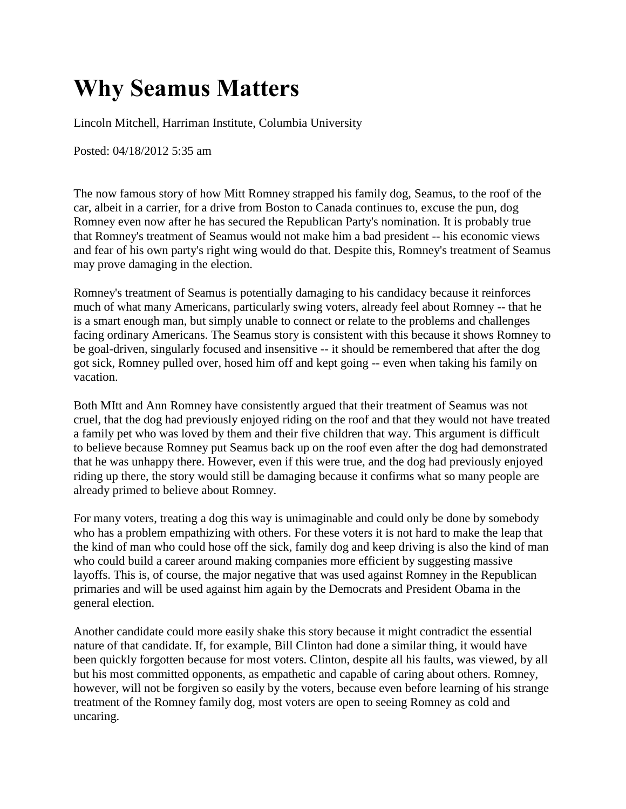## **Why Seamus Matters**

Lincoln Mitchell, Harriman Institute, Columbia University

Posted: 04/18/2012 5:35 am

The now famous story of how Mitt Romney strapped his family dog, Seamus, to the roof of the car, albeit in a carrier, for a drive from Boston to Canada continues to, excuse the pun, dog Romney even now after he has secured the Republican Party's nomination. It is probably true that Romney's treatment of Seamus would not make him a bad president -- his economic views and fear of his own party's right wing would do that. Despite this, Romney's treatment of Seamus may prove damaging in the election.

Romney's treatment of Seamus is potentially damaging to his candidacy because it reinforces much of what many Americans, particularly swing voters, already feel about Romney -- that he is a smart enough man, but simply unable to connect or relate to the problems and challenges facing ordinary Americans. The Seamus story is consistent with this because it shows Romney to be goal-driven, singularly focused and insensitive -- it should be remembered that after the dog got sick, Romney pulled over, hosed him off and kept going -- even when taking his family on vacation.

Both MItt and Ann Romney have consistently argued that their treatment of Seamus was not cruel, that the dog had previously enjoyed riding on the roof and that they would not have treated a family pet who was loved by them and their five children that way. This argument is difficult to believe because Romney put Seamus back up on the roof even after the dog had demonstrated that he was unhappy there. However, even if this were true, and the dog had previously enjoyed riding up there, the story would still be damaging because it confirms what so many people are already primed to believe about Romney.

For many voters, treating a dog this way is unimaginable and could only be done by somebody who has a problem empathizing with others. For these voters it is not hard to make the leap that the kind of man who could hose off the sick, family dog and keep driving is also the kind of man who could build a career around making companies more efficient by suggesting massive layoffs. This is, of course, the major negative that was used against Romney in the Republican primaries and will be used against him again by the Democrats and President Obama in the general election.

Another candidate could more easily shake this story because it might contradict the essential nature of that candidate. If, for example, Bill Clinton had done a similar thing, it would have been quickly forgotten because for most voters. Clinton, despite all his faults, was viewed, by all but his most committed opponents, as empathetic and capable of caring about others. Romney, however, will not be forgiven so easily by the voters, because even before learning of his strange treatment of the Romney family dog, most voters are open to seeing Romney as cold and uncaring.